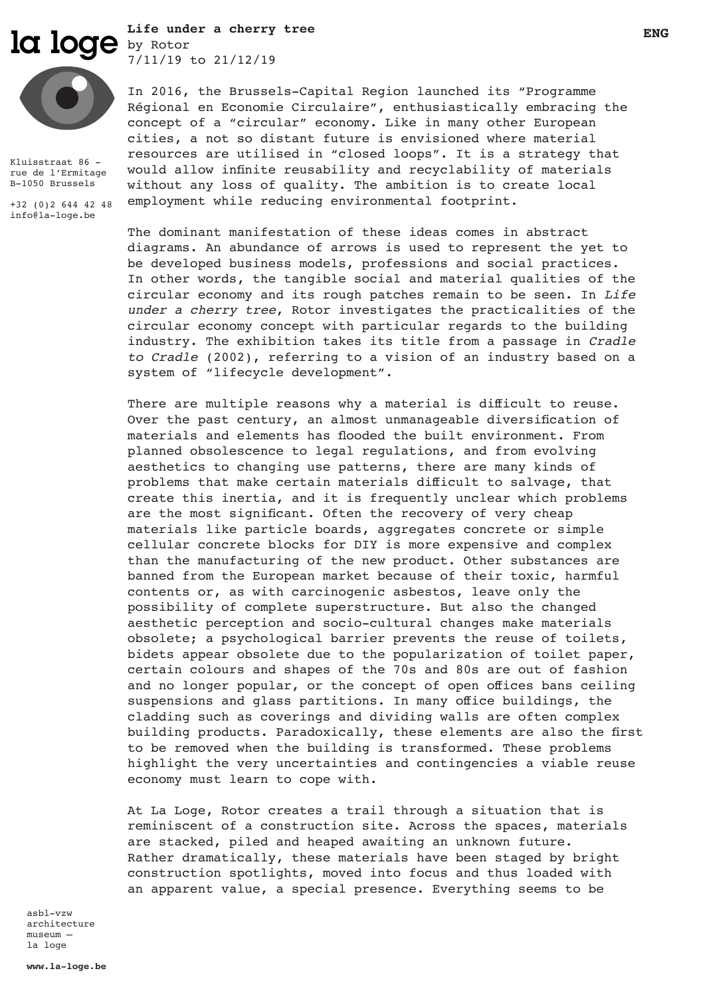la loge by Rotor ENG Reserve the end of the set of the set of the set of the set of the set of the set of the set of the set of the set of the set of the set of the set of the set of the set of the set of the set of the se **Life under a cherry tree**  7/11/19 to 21/12/19



Kluisstraat 86 rue de l'Ermitage B-1050 Brussels

+32 (0)2 644 42 48 info@la-loge.be

In 2016, the Brussels-Capital Region launched its "Programme Régional en Economie Circulaire", enthusiastically embracing the

concept of a "circular" economy. Like in many other European cities, a not so distant future is envisioned where material resources are utilised in "closed loops". It is a strategy that would allow infinite reusability and recyclability of materials without any loss of quality. The ambition is to create local employment while reducing environmental footprint.

The dominant manifestation of these ideas comes in abstract diagrams. An abundance of arrows is used to represent the yet to be developed business models, professions and social practices. In other words, the tangible social and material qualities of the circular economy and its rough patches remain to be seen. In *Life under a cherry tree*, Rotor investigates the practicalities of the circular economy concept with particular regards to the building industry. The exhibition takes its title from a passage in *Cradle to Cradle* (2002), referring to a vision of an industry based on a system of "lifecycle development".

There are multiple reasons why a material is difficult to reuse. Over the past century, an almost unmanageable diversification of materials and elements has flooded the built environment. From planned obsolescence to legal regulations, and from evolving aesthetics to changing use patterns, there are many kinds of problems that make certain materials difficult to salvage, that create this inertia, and it is frequently unclear which problems are the most significant. Often the recovery of very cheap materials like particle boards, aggregates concrete or simple cellular concrete blocks for DIY is more expensive and complex than the manufacturing of the new product. Other substances are banned from the European market because of their toxic, harmful contents or, as with carcinogenic asbestos, leave only the possibility of complete superstructure. But also the changed aesthetic perception and socio-cultural changes make materials obsolete; a psychological barrier prevents the reuse of toilets, bidets appear obsolete due to the popularization of toilet paper, certain colours and shapes of the 70s and 80s are out of fashion and no longer popular, or the concept of open offices bans ceiling suspensions and glass partitions. In many office buildings, the cladding such as coverings and dividing walls are often complex building products. Paradoxically, these elements are also the first to be removed when the building is transformed. These problems highlight the very uncertainties and contingencies a viable reuse economy must learn to cope with.

At La Loge, Rotor creates a trail through a situation that is reminiscent of a construction site. Across the spaces, materials are stacked, piled and heaped awaiting an unknown future. Rather dramatically, these materials have been staged by bright construction spotlights, moved into focus and thus loaded with an apparent value, a special presence. Everything seems to be

asbl-vzw architecture museum – la loge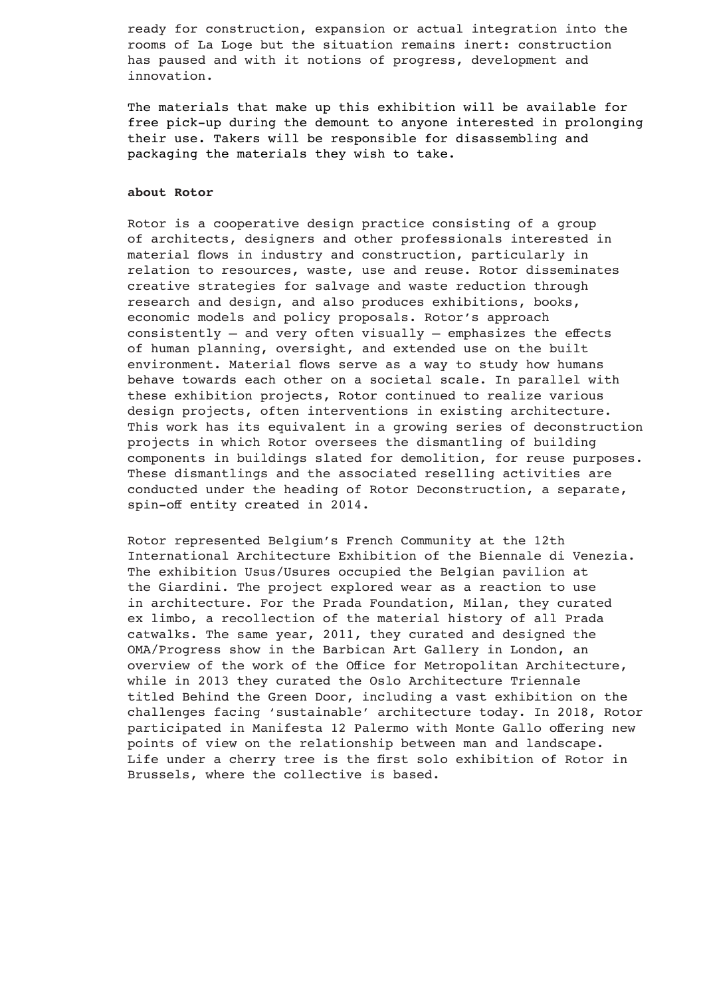ready for construction, expansion or actual integration into the rooms of La Loge but the situation remains inert: construction has paused and with it notions of progress, development and innovation.

The materials that make up this exhibition will be available for free pick-up during the demount to anyone interested in prolonging their use. Takers will be responsible for disassembling and packaging the materials they wish to take.

### **about Rotor**

Rotor is a cooperative design practice consisting of a group of architects, designers and other professionals interested in material flows in industry and construction, particularly in relation to resources, waste, use and reuse. Rotor disseminates creative strategies for salvage and waste reduction through research and design, and also produces exhibitions, books, economic models and policy proposals. Rotor's approach consistently – and very often visually – emphasizes the effects of human planning, oversight, and extended use on the built environment. Material flows serve as a way to study how humans behave towards each other on a societal scale. In parallel with these exhibition projects, Rotor continued to realize various design projects, often interventions in existing architecture. This work has its equivalent in a growing series of deconstruction projects in which Rotor oversees the dismantling of building components in buildings slated for demolition, for reuse purposes. These dismantlings and the associated reselling activities are conducted under the heading of Rotor Deconstruction, a separate, spin-off entity created in 2014.

Rotor represented Belgium's French Community at the 12th International Architecture Exhibition of the Biennale di Venezia. The exhibition Usus/Usures occupied the Belgian pavilion at the Giardini. The project explored wear as a reaction to use in architecture. For the Prada Foundation, Milan, they curated ex limbo, a recollection of the material history of all Prada catwalks. The same year, 2011, they curated and designed the OMA/Progress show in the Barbican Art Gallery in London, an overview of the work of the Office for Metropolitan Architecture, while in 2013 they curated the Oslo Architecture Triennale titled Behind the Green Door, including a vast exhibition on the challenges facing 'sustainable' architecture today. In 2018, Rotor participated in Manifesta 12 Palermo with Monte Gallo offering new points of view on the relationship between man and landscape. Life under a cherry tree is the first solo exhibition of Rotor in Brussels, where the collective is based.